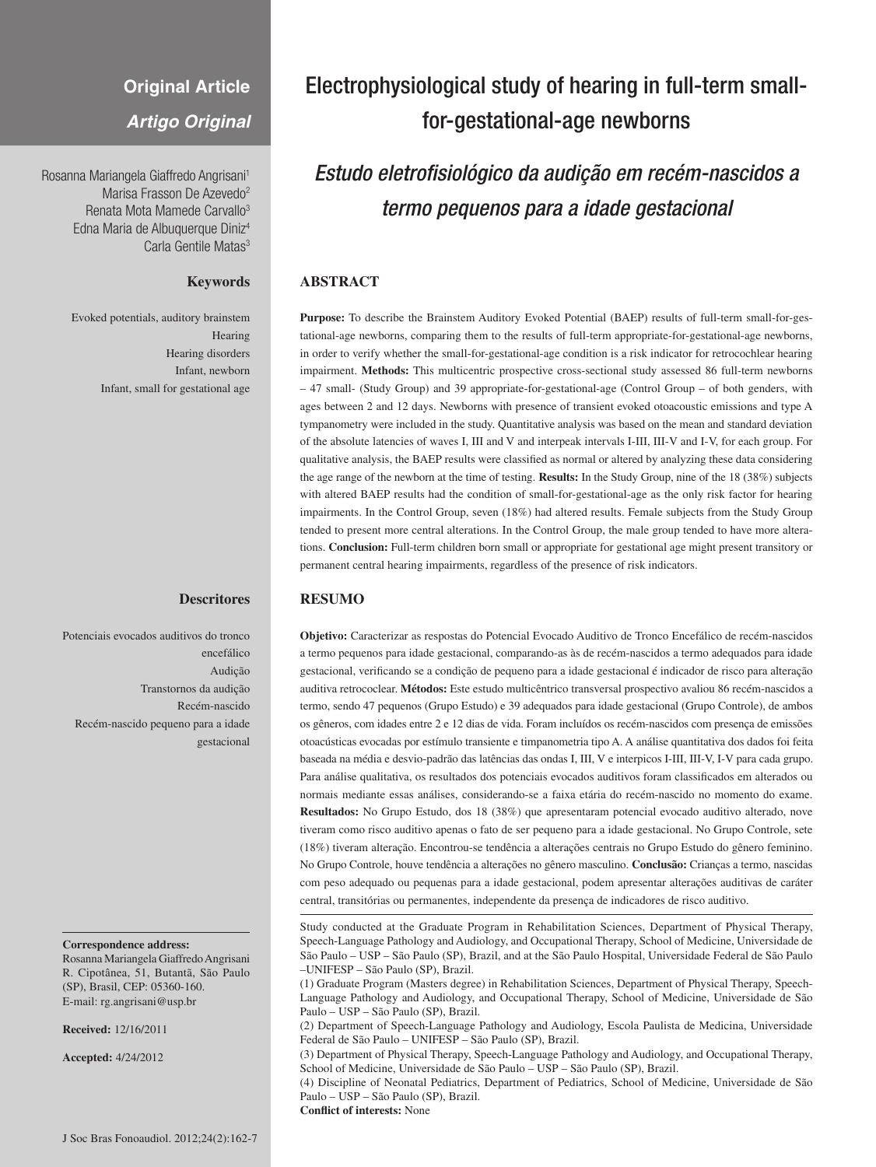## **Original Article**

*Artigo Original*

Rosanna Mariangela Giaffredo Angrisani1 Marisa Frasson De Azevedo<sup>2</sup> Renata Mota Mamede Carvallo<sup>3</sup> Edna Maria de Albuquerque Diniz4 Carla Gentile Matas<sup>3</sup>

## **Keywords**

Evoked potentials, auditory brainstem Hearing Hearing disorders Infant, newborn Infant, small for gestational age

### **Descritores**

Potenciais evocados auditivos do tronco encefálico Audição Transtornos da audição Recém-nascido Recém-nascido pequeno para a idade gestacional

#### **Correspondence address:**

Rosanna Mariangela Giaffredo Angrisani R. Cipotânea, 51, Butantã, São Paulo (SP), Brasil, CEP: 05360-160. E-mail: rg.angrisani@usp.br

**Received:** 12/16/2011

**Accepted:** 4/24/2012

# Electrophysiological study of hearing in full-term smallfor-gestational-age newborns

# *Estudo eletrofisiológico da audição em recém-nascidos a termo pequenos para a idade gestacional*

## **ABSTRACT**

**Purpose:** To describe the Brainstem Auditory Evoked Potential (BAEP) results of full-term small-for-gestational-age newborns, comparing them to the results of full-term appropriate-for-gestational-age newborns, in order to verify whether the small-for-gestational-age condition is a risk indicator for retrocochlear hearing impairment. **Methods:** This multicentric prospective cross-sectional study assessed 86 full-term newborns – 47 small- (Study Group) and 39 appropriate-for-gestational-age (Control Group – of both genders, with ages between 2 and 12 days. Newborns with presence of transient evoked otoacoustic emissions and type A tympanometry were included in the study. Quantitative analysis was based on the mean and standard deviation of the absolute latencies of waves I, III and V and interpeak intervals I-III, III-V and I-V, for each group. For qualitative analysis, the BAEP results were classified as normal or altered by analyzing these data considering the age range of the newborn at the time of testing. **Results:** In the Study Group, nine of the 18 (38%) subjects with altered BAEP results had the condition of small-for-gestational-age as the only risk factor for hearing impairments. In the Control Group, seven (18%) had altered results. Female subjects from the Study Group tended to present more central alterations. In the Control Group, the male group tended to have more alterations. **Conclusion:** Full-term children born small or appropriate for gestational age might present transitory or permanent central hearing impairments, regardless of the presence of risk indicators.

#### **RESUMO**

**Objetivo:** Caracterizar as respostas do Potencial Evocado Auditivo de Tronco Encefálico de recém-nascidos a termo pequenos para idade gestacional, comparando-as às de recém-nascidos a termo adequados para idade gestacional, verificando se a condição de pequeno para a idade gestacional é indicador de risco para alteração auditiva retrococlear. **Métodos:** Este estudo multicêntrico transversal prospectivo avaliou 86 recém-nascidos a termo, sendo 47 pequenos (Grupo Estudo) e 39 adequados para idade gestacional (Grupo Controle), de ambos os gêneros, com idades entre 2 e 12 dias de vida. Foram incluídos os recém-nascidos com presença de emissões otoacústicas evocadas por estímulo transiente e timpanometria tipo A. A análise quantitativa dos dados foi feita baseada na média e desvio-padrão das latências das ondas I, III, V e interpicos I-III, III-V, I-V para cada grupo. Para análise qualitativa, os resultados dos potenciais evocados auditivos foram classificados em alterados ou normais mediante essas análises, considerando-se a faixa etária do recém-nascido no momento do exame. **Resultados:** No Grupo Estudo, dos 18 (38%) que apresentaram potencial evocado auditivo alterado, nove tiveram como risco auditivo apenas o fato de ser pequeno para a idade gestacional. No Grupo Controle, sete (18%) tiveram alteração. Encontrou-se tendência a alterações centrais no Grupo Estudo do gênero feminino. No Grupo Controle, houve tendência a alterações no gênero masculino. **Conclusão:** Crianças a termo, nascidas com peso adequado ou pequenas para a idade gestacional, podem apresentar alterações auditivas de caráter central, transitórias ou permanentes, independente da presença de indicadores de risco auditivo.

Study conducted at the Graduate Program in Rehabilitation Sciences, Department of Physical Therapy, Speech-Language Pathology and Audiology, and Occupational Therapy, School of Medicine, Universidade de São Paulo – USP – São Paulo (SP), Brazil, and at the São Paulo Hospital, Universidade Federal de São Paulo –UNIFESP – São Paulo (SP), Brazil.

(1) Graduate Program (Masters degree) in Rehabilitation Sciences, Department of Physical Therapy, Speech-Language Pathology and Audiology, and Occupational Therapy, School of Medicine, Universidade de São Paulo – USP – São Paulo (SP), Brazil.

(2) Department of Speech-Language Pathology and Audiology, Escola Paulista de Medicina, Universidade Federal de São Paulo – UNIFESP – São Paulo (SP), Brazil.

(3) Department of Physical Therapy, Speech-Language Pathology and Audiology, and Occupational Therapy, School of Medicine, Universidade de São Paulo – USP – São Paulo (SP), Brazil.

(4) Discipline of Neonatal Pediatrics, Department of Pediatrics, School of Medicine, Universidade de São Paulo – USP – São Paulo (SP), Brazil.

**Conflict of interests:** None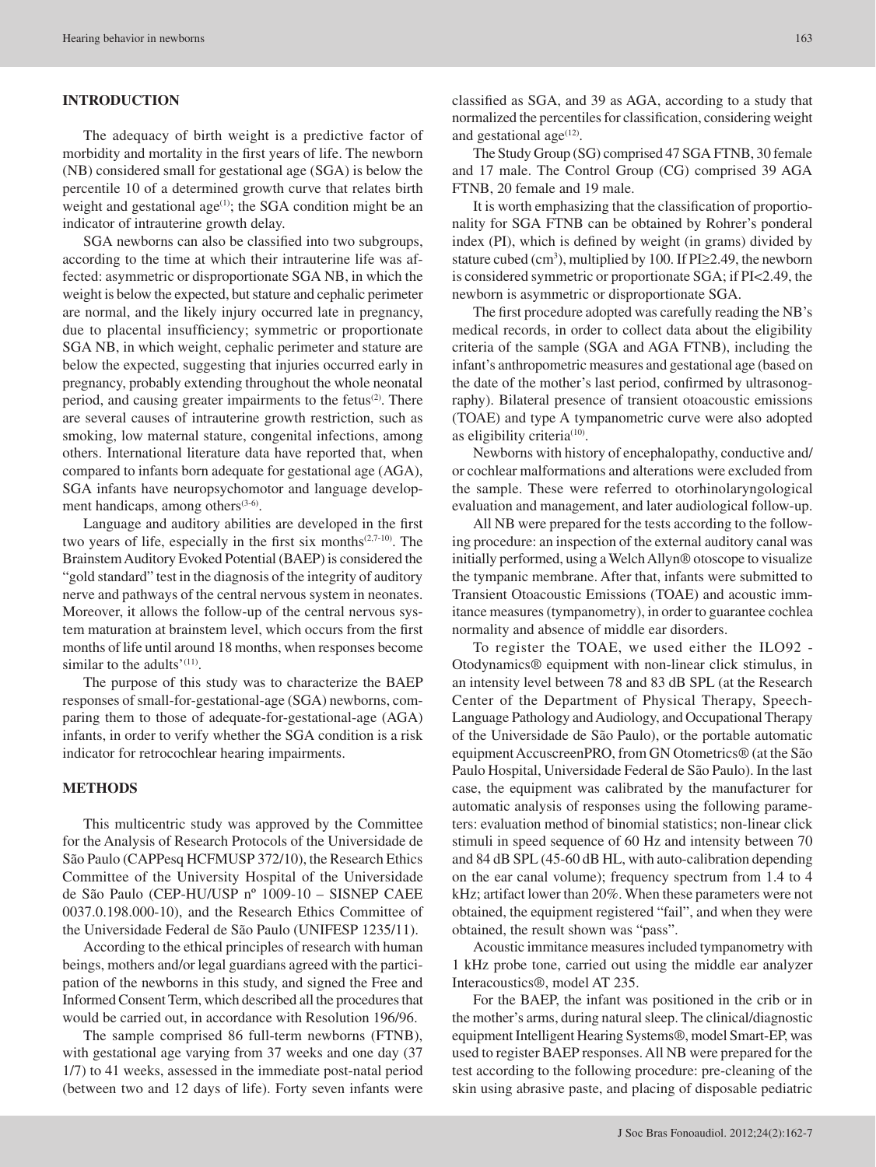## **INTRODUCTION**

The adequacy of birth weight is a predictive factor of morbidity and mortality in the first years of life. The newborn (NB) considered small for gestational age (SGA) is below the percentile 10 of a determined growth curve that relates birth weight and gestational age<sup>(1)</sup>; the SGA condition might be an indicator of intrauterine growth delay.

SGA newborns can also be classified into two subgroups, according to the time at which their intrauterine life was affected: asymmetric or disproportionate SGA NB, in which the weight is below the expected, but stature and cephalic perimeter are normal, and the likely injury occurred late in pregnancy, due to placental insufficiency; symmetric or proportionate SGA NB, in which weight, cephalic perimeter and stature are below the expected, suggesting that injuries occurred early in pregnancy, probably extending throughout the whole neonatal period, and causing greater impairments to the fetus<sup>(2)</sup>. There are several causes of intrauterine growth restriction, such as smoking, low maternal stature, congenital infections, among others. International literature data have reported that, when compared to infants born adequate for gestational age (AGA), SGA infants have neuropsychomotor and language development handicaps, among others<sup>(3-6)</sup>.

Language and auditory abilities are developed in the first two years of life, especially in the first six months<sup>(2,7-10)</sup>. The Brainstem Auditory Evoked Potential (BAEP) is considered the "gold standard" test in the diagnosis of the integrity of auditory nerve and pathways of the central nervous system in neonates. Moreover, it allows the follow-up of the central nervous system maturation at brainstem level, which occurs from the first months of life until around 18 months, when responses become similar to the adults'<sup>(11)</sup>.

The purpose of this study was to characterize the BAEP responses of small-for-gestational-age (SGA) newborns, comparing them to those of adequate-for-gestational-age (AGA) infants, in order to verify whether the SGA condition is a risk indicator for retrocochlear hearing impairments.

#### **METHODS**

This multicentric study was approved by the Committee for the Analysis of Research Protocols of the Universidade de São Paulo (CAPPesq HCFMUSP 372/10), the Research Ethics Committee of the University Hospital of the Universidade de São Paulo (CEP-HU/USP nº 1009-10 – SISNEP CAEE 0037.0.198.000-10), and the Research Ethics Committee of the Universidade Federal de São Paulo (UNIFESP 1235/11).

According to the ethical principles of research with human beings, mothers and/or legal guardians agreed with the participation of the newborns in this study, and signed the Free and Informed Consent Term, which described all the procedures that would be carried out, in accordance with Resolution 196/96.

The sample comprised 86 full-term newborns (FTNB), with gestational age varying from 37 weeks and one day (37 1/7) to 41 weeks, assessed in the immediate post-natal period (between two and 12 days of life). Forty seven infants were classified as SGA, and 39 as AGA, according to a study that normalized the percentiles for classification, considering weight and gestational age $(12)$ .

The Study Group (SG) comprised 47 SGA FTNB, 30 female and 17 male. The Control Group (CG) comprised 39 AGA FTNB, 20 female and 19 male.

It is worth emphasizing that the classification of proportionality for SGA FTNB can be obtained by Rohrer's ponderal index (PI), which is defined by weight (in grams) divided by stature cubed  $(cm^3)$ , multiplied by 100. If PI $\geq$ 2.49, the newborn is considered symmetric or proportionate SGA; if PI<2.49, the newborn is asymmetric or disproportionate SGA.

The first procedure adopted was carefully reading the NB's medical records, in order to collect data about the eligibility criteria of the sample (SGA and AGA FTNB), including the infant's anthropometric measures and gestational age (based on the date of the mother's last period, confirmed by ultrasonography). Bilateral presence of transient otoacoustic emissions (TOAE) and type A tympanometric curve were also adopted as eligibility criteria<sup>(10)</sup>.

Newborns with history of encephalopathy, conductive and/ or cochlear malformations and alterations were excluded from the sample. These were referred to otorhinolaryngological evaluation and management, and later audiological follow-up.

All NB were prepared for the tests according to the following procedure: an inspection of the external auditory canal was initially performed, using a Welch Allyn*®* otoscope to visualize the tympanic membrane. After that, infants were submitted to Transient Otoacoustic Emissions (TOAE) and acoustic immitance measures (tympanometry), in order to guarantee cochlea normality and absence of middle ear disorders.

To register the TOAE, we used either the ILO92 - Otodynamics® equipment with non-linear click stimulus, in an intensity level between 78 and 83 dB SPL (at the Research Center of the Department of Physical Therapy, Speech-Language Pathology and Audiology, and Occupational Therapy of the Universidade de São Paulo), or the portable automatic equipment AccuscreenPRO, from GN Otometrics® (at the São Paulo Hospital, Universidade Federal de São Paulo). In the last case, the equipment was calibrated by the manufacturer for automatic analysis of responses using the following parameters: evaluation method of binomial statistics; non-linear click stimuli in speed sequence of 60 Hz and intensity between 70 and 84 dB SPL (45-60 dB HL, with auto-calibration depending on the ear canal volume); frequency spectrum from 1.4 to 4 kHz; artifact lower than 20%. When these parameters were not obtained, the equipment registered "fail", and when they were obtained, the result shown was "pass".

Acoustic immitance measures included tympanometry with 1 kHz probe tone, carried out using the middle ear analyzer Interacoustics®, model AT 235.

For the BAEP, the infant was positioned in the crib or in the mother's arms, during natural sleep. The clinical/diagnostic equipment Intelligent Hearing Systems®, model Smart-EP, was used to register BAEP responses. All NB were prepared for the test according to the following procedure: pre-cleaning of the skin using abrasive paste, and placing of disposable pediatric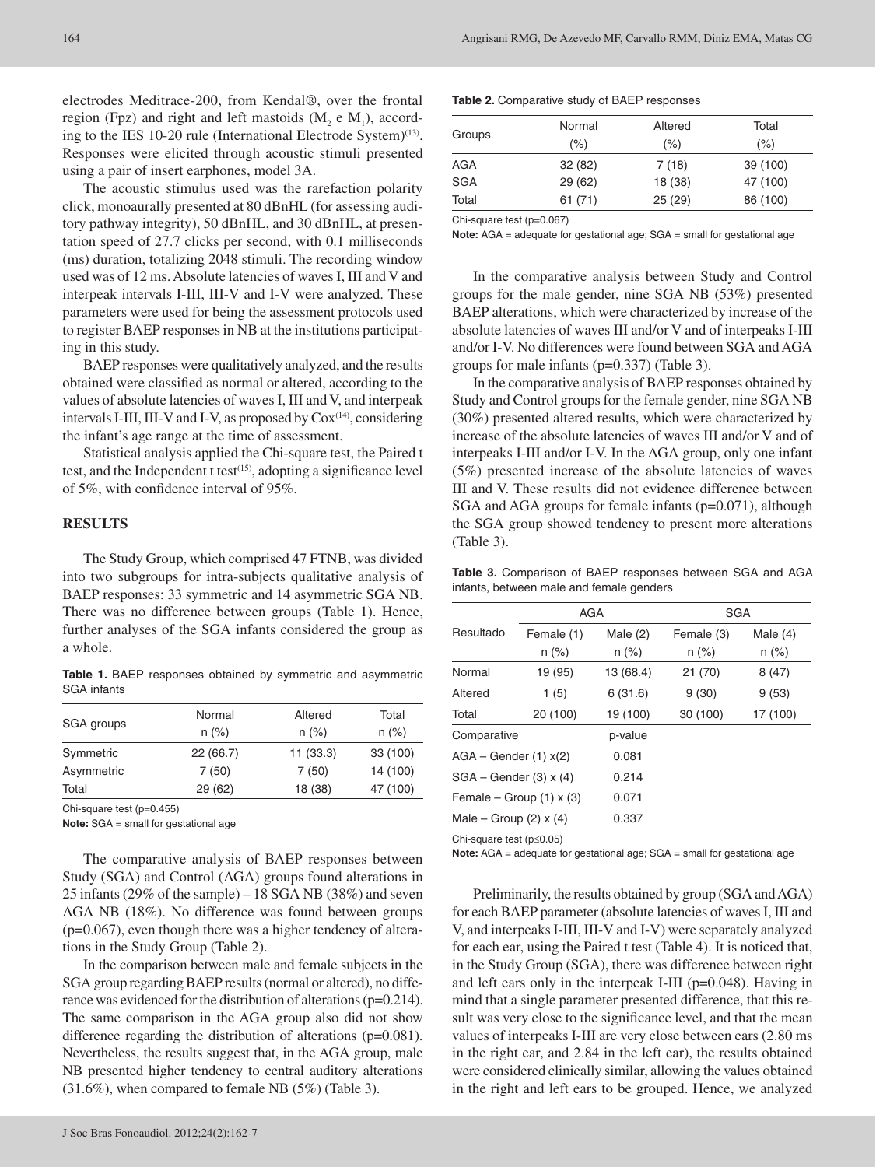electrodes Meditrace-200, from Kendal®, over the frontal region (Fpz) and right and left mastoids  $(M_2 \nvert M_1)$ , according to the IES 10-20 rule (International Electrode System)<sup>(13)</sup>. Responses were elicited through acoustic stimuli presented using a pair of insert earphones, model 3A.

The acoustic stimulus used was the rarefaction polarity click, monoaurally presented at 80 dBnHL (for assessing auditory pathway integrity), 50 dBnHL, and 30 dBnHL, at presentation speed of 27.7 clicks per second, with 0.1 milliseconds (ms) duration, totalizing 2048 stimuli. The recording window used was of 12 ms. Absolute latencies of waves I, III and V and interpeak intervals I-III, III-V and I-V were analyzed. These parameters were used for being the assessment protocols used to register BAEP responses in NB at the institutions participating in this study.

BAEP responses were qualitatively analyzed, and the results obtained were classified as normal or altered, according to the values of absolute latencies of waves I, III and V, and interpeak intervals I-III, III-V and I-V, as proposed by  $\text{Cox}^{\scriptscriptstyle \text{(14)}}$ , considering the infant's age range at the time of assessment.

Statistical analysis applied the Chi-square test, the Paired t test, and the Independent t test<sup>(15)</sup>, adopting a significance level of 5%, with confidence interval of 95%.

#### **RESULTS**

The Study Group, which comprised 47 FTNB, was divided into two subgroups for intra-subjects qualitative analysis of BAEP responses: 33 symmetric and 14 asymmetric SGA NB. There was no difference between groups (Table 1). Hence, further analyses of the SGA infants considered the group as a whole.

**Table 1.** BAEP responses obtained by symmetric and asymmetric SGA infants

| SGA groups | Normal   | Altered  | Total    |
|------------|----------|----------|----------|
|            | $n (\%)$ | $n (\%)$ | $n (\%)$ |
| Symmetric  | 22(66.7) | 11(33.3) | 33 (100) |
| Asymmetric | 7(50)    | 7(50)    | 14 (100) |
| Total      | 29(62)   | 18 (38)  | 47 (100) |

Chi-square test (p=0.455)

**Note:** SGA = small for gestational age

The comparative analysis of BAEP responses between Study (SGA) and Control (AGA) groups found alterations in 25 infants (29% of the sample) – 18 SGA NB (38%) and seven AGA NB (18%). No difference was found between groups  $(p=0.067)$ , even though there was a higher tendency of alterations in the Study Group (Table 2).

In the comparison between male and female subjects in the SGA group regarding BAEP results (normal or altered), no difference was evidenced for the distribution of alterations (p=0.214). The same comparison in the AGA group also did not show difference regarding the distribution of alterations (p=0.081). Nevertheless, the results suggest that, in the AGA group, male NB presented higher tendency to central auditory alterations (31.6%), when compared to female NB (5%) (Table 3).

#### **Table 2.** Comparative study of BAEP responses

| Groups     | Normal  | Altered | Total    |
|------------|---------|---------|----------|
|            | (%)     | $(\% )$ | (%)      |
| AGA        | 32(82)  | 7(18)   | 39 (100) |
| <b>SGA</b> | 29 (62) | 18 (38) | 47 (100) |
| Total      | 61(71)  | 25(29)  | 86 (100) |

Chi-square test (p=0.067)

**Note:** AGA = adequate for gestational age; SGA = small for gestational age

In the comparative analysis between Study and Control groups for the male gender, nine SGA NB (53%) presented BAEP alterations, which were characterized by increase of the absolute latencies of waves III and/or V and of interpeaks I-III and/or I-V. No differences were found between SGA and AGA groups for male infants (p=0.337) (Table 3).

In the comparative analysis of BAEP responses obtained by Study and Control groups for the female gender, nine SGA NB (30%) presented altered results, which were characterized by increase of the absolute latencies of waves III and/or V and of interpeaks I-III and/or I-V. In the AGA group, only one infant (5%) presented increase of the absolute latencies of waves III and V. These results did not evidence difference between SGA and AGA groups for female infants (p=0.071), although the SGA group showed tendency to present more alterations (Table 3).

**Table 3.** Comparison of BAEP responses between SGA and AGA infants, between male and female genders

|                              | <b>AGA</b> |            | <b>SGA</b> |            |  |  |
|------------------------------|------------|------------|------------|------------|--|--|
| Resultado                    | Female (1) | Male $(2)$ | Female (3) | Male $(4)$ |  |  |
|                              | $n (\%)$   | $n (\%)$   | $n (\%)$   | $n (\%)$   |  |  |
| Normal                       | 19 (95)    | 13 (68.4)  | 21 (70)    | 8(47)      |  |  |
| Altered                      | 1(5)       | 6(31.6)    | 9(30)      | 9(53)      |  |  |
| Total                        | 20 (100)   | 19 (100)   | 30 (100)   | 17 (100)   |  |  |
| Comparative                  |            | p-value    |            |            |  |  |
| $AGA - Gender (1) x(2)$      |            | 0.081      |            |            |  |  |
| $SGA - Gender (3) x (4)$     |            | 0.214      |            |            |  |  |
| Female – Group $(1)$ x $(3)$ |            | 0.071      |            |            |  |  |
| Male – Group $(2)$ x $(4)$   |            | 0.337      |            |            |  |  |

Chi-square test (p≤0.05)

**Note:** AGA = adequate for gestational age; SGA = small for gestational age

Preliminarily, the results obtained by group (SGA and AGA) for each BAEP parameter (absolute latencies of waves I, III and V, and interpeaks I-III, III-V and I-V) were separately analyzed for each ear, using the Paired t test (Table 4). It is noticed that, in the Study Group (SGA), there was difference between right and left ears only in the interpeak I-III (p=0.048). Having in mind that a single parameter presented difference, that this result was very close to the significance level, and that the mean values of interpeaks I-III are very close between ears (2.80 ms in the right ear, and 2.84 in the left ear), the results obtained were considered clinically similar, allowing the values obtained in the right and left ears to be grouped. Hence, we analyzed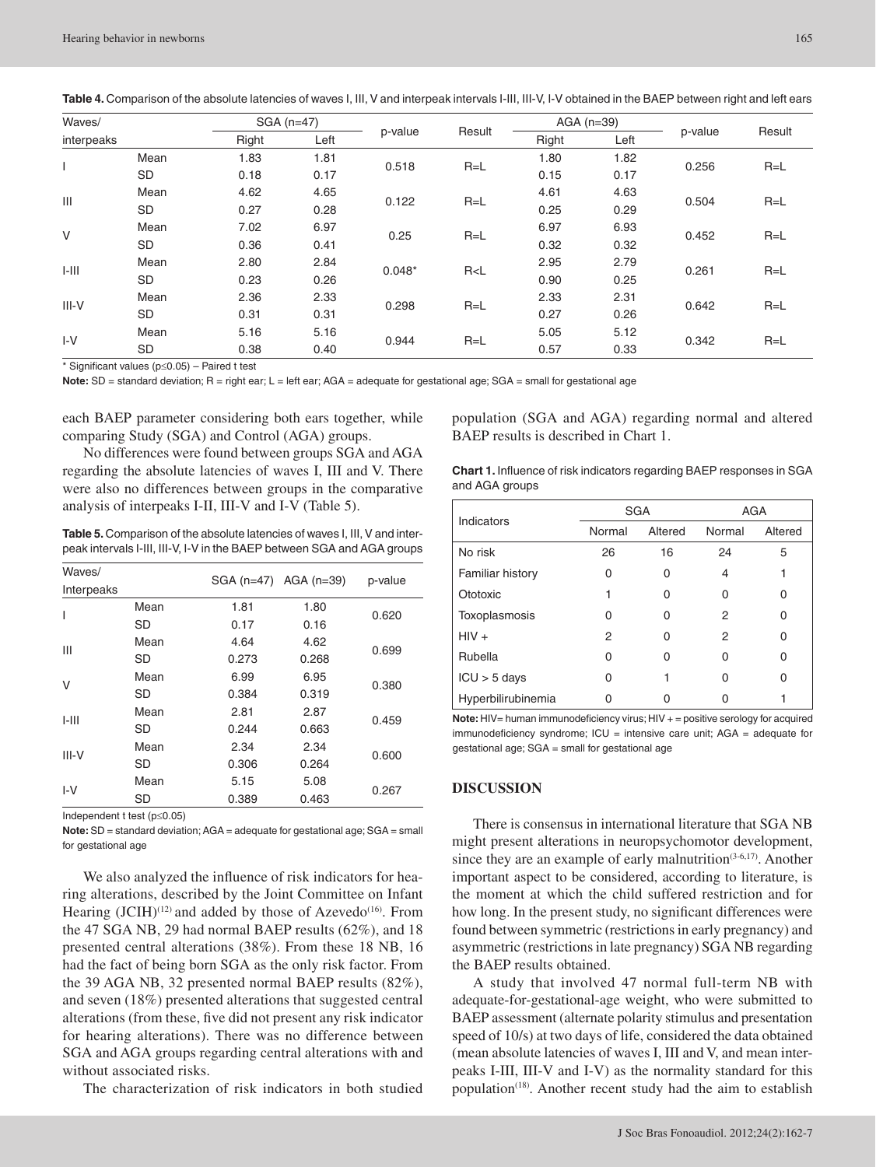|  |  |  |  | Table 4. Comparison of the absolute latencies of waves I, III, V and interpeak intervals I-III, III-V, I-V obtained in the BAEP between right and left ears |
|--|--|--|--|-------------------------------------------------------------------------------------------------------------------------------------------------------------|
|--|--|--|--|-------------------------------------------------------------------------------------------------------------------------------------------------------------|

| Waves/<br>interpeaks |           |       | $SGA(n=47)$ |          |                   | $AGA$ ( $n=39$ ) |      |         |         |
|----------------------|-----------|-------|-------------|----------|-------------------|------------------|------|---------|---------|
|                      |           | Right | Left        |          | Result<br>p-value |                  | Left | p-value | Result  |
|                      | Mean      | 1.83  | 1.81        | 0.518    | $R=L$             | 1.80             | 1.82 | 0.256   | $R = L$ |
|                      | <b>SD</b> | 0.18  | 0.17        |          |                   | 0.15             | 0.17 |         |         |
|                      | Mean      | 4.62  | 4.65        |          |                   | 4.61             | 4.63 | 0.504   |         |
| Ш                    | <b>SD</b> | 0.27  | 0.28        | 0.122    | $R=L$             | 0.25             | 0.29 |         | $R = L$ |
| $\vee$               | Mean      | 7.02  | 6.97        |          | $R=L$             | 6.97             | 6.93 | 0.452   | $R=L$   |
|                      | <b>SD</b> | 0.36  | 0.41        | 0.25     |                   | 0.32             | 0.32 |         |         |
| $1 - 111$            | Mean      | 2.80  | 2.84        | $0.048*$ | R < L             | 2.95             | 2.79 | 0.261   | $R = L$ |
|                      | <b>SD</b> | 0.23  | 0.26        |          |                   | 0.90             | 0.25 |         |         |
|                      | Mean      | 2.36  | 2.33        |          |                   | 2.33             | 2.31 | 0.642   |         |
| $III-V$              | <b>SD</b> | 0.31  | 0.31        |          | $R = L$<br>0.298  | 0.27             | 0.26 |         | $R = L$ |
| $I-V$                | Mean      | 5.16  | 5.16        |          |                   | 5.05             | 5.12 | 0.342   |         |
|                      | <b>SD</b> | 0.38  | 0.40        | 0.944    | $R=L$             | 0.57             | 0.33 |         | $R=L$   |

\* Significant values (p≤0.05) – Paired t test

Note: SD = standard deviation; R = right ear; L = left ear; AGA = adequate for gestational age; SGA = small for gestational age

each BAEP parameter considering both ears together, while comparing Study (SGA) and Control (AGA) groups.

No differences were found between groups SGA and AGA regarding the absolute latencies of waves I, III and V. There were also no differences between groups in the comparative analysis of interpeaks I-II, III-V and I-V (Table 5).

**Table 5.** Comparison of the absolute latencies of waves I, III, V and interpeak intervals I-III, III-V, I-V in the BAEP between SGA and AGA groups

| Waves/     |      |       |                       |         |  |
|------------|------|-------|-----------------------|---------|--|
| Interpeaks |      |       | SGA (n=47) AGA (n=39) | p-value |  |
| T          | Mean | 1.81  | 1.80                  | 0.620   |  |
|            | SD   | 0.17  | 0.16                  |         |  |
| Ш          | Mean | 4.64  | 4.62                  | 0.699   |  |
|            | SD   | 0.273 | 0.268                 |         |  |
| V          | Mean | 6.99  | 6.95                  | 0.380   |  |
|            | SD   | 0.384 | 0.319                 |         |  |
| $1 - 111$  | Mean | 2.81  | 2.87                  | 0.459   |  |
|            | SD   | 0.244 | 0.663                 |         |  |
| $III-V$    | Mean | 2.34  | 2.34                  |         |  |
|            | SD   | 0.306 | 0.264                 | 0.600   |  |
| $I-V$      | Mean | 5.15  | 5.08                  | 0.267   |  |
|            | SD   | 0.389 | 0.463                 |         |  |

Independent t test (p≤0.05)

**Note:** SD = standard deviation; AGA = adequate for gestational age; SGA = small for gestational age

We also analyzed the influence of risk indicators for hearing alterations, described by the Joint Committee on Infant Hearing  $(ICIH)^{(12)}$  and added by those of Azevedo<sup>(16)</sup>. From the 47 SGA NB, 29 had normal BAEP results (62%), and 18 presented central alterations (38%). From these 18 NB, 16 had the fact of being born SGA as the only risk factor. From the 39 AGA NB, 32 presented normal BAEP results (82%), and seven (18%) presented alterations that suggested central alterations (from these, five did not present any risk indicator for hearing alterations). There was no difference between SGA and AGA groups regarding central alterations with and without associated risks.

The characterization of risk indicators in both studied

population (SGA and AGA) regarding normal and altered BAEP results is described in Chart 1.

| <b>Chart 1.</b> Influence of risk indicators regarding BAEP responses in SGA |  |
|------------------------------------------------------------------------------|--|
| and AGA groups                                                               |  |

| Indicators              |        | <b>SGA</b> | AGA    |         |  |
|-------------------------|--------|------------|--------|---------|--|
|                         | Normal | Altered    | Normal | Altered |  |
| No risk                 | 26     | 16         | 24     | 5       |  |
| <b>Familiar history</b> | 0      | 0          | 4      |         |  |
| Ototoxic                | 1      | 0          | 0      | 0       |  |
| Toxoplasmosis           | ი      | 0          | 2      | 0       |  |
| $HIV +$                 | 2      | 0          | 2      | 0       |  |
| Rubella                 | 0      | Ω          | 0      | 0       |  |
| $ICU > 5$ days          | 0      | 1          | 0      | 0       |  |
| Hyperbilirubinemia      |        |            |        |         |  |

**Note:** HIV= human immunodeficiency virus; HIV + = positive serology for acquired immunodeficiency syndrome;  $ICU =$  intensive care unit; AGA = adequate for gestational age; SGA = small for gestational age

#### **DISCUSSION**

There is consensus in international literature that SGA NB might present alterations in neuropsychomotor development, since they are an example of early malnutrition<sup>(3-6,17)</sup>. Another important aspect to be considered, according to literature, is the moment at which the child suffered restriction and for how long. In the present study, no significant differences were found between symmetric (restrictions in early pregnancy) and asymmetric (restrictions in late pregnancy) SGA NB regarding the BAEP results obtained.

A study that involved 47 normal full-term NB with adequate-for-gestational-age weight, who were submitted to BAEP assessment (alternate polarity stimulus and presentation speed of 10/s) at two days of life, considered the data obtained (mean absolute latencies of waves I, III and V, and mean interpeaks I-III, III-V and I-V) as the normality standard for this population<sup>(18)</sup>. Another recent study had the aim to establish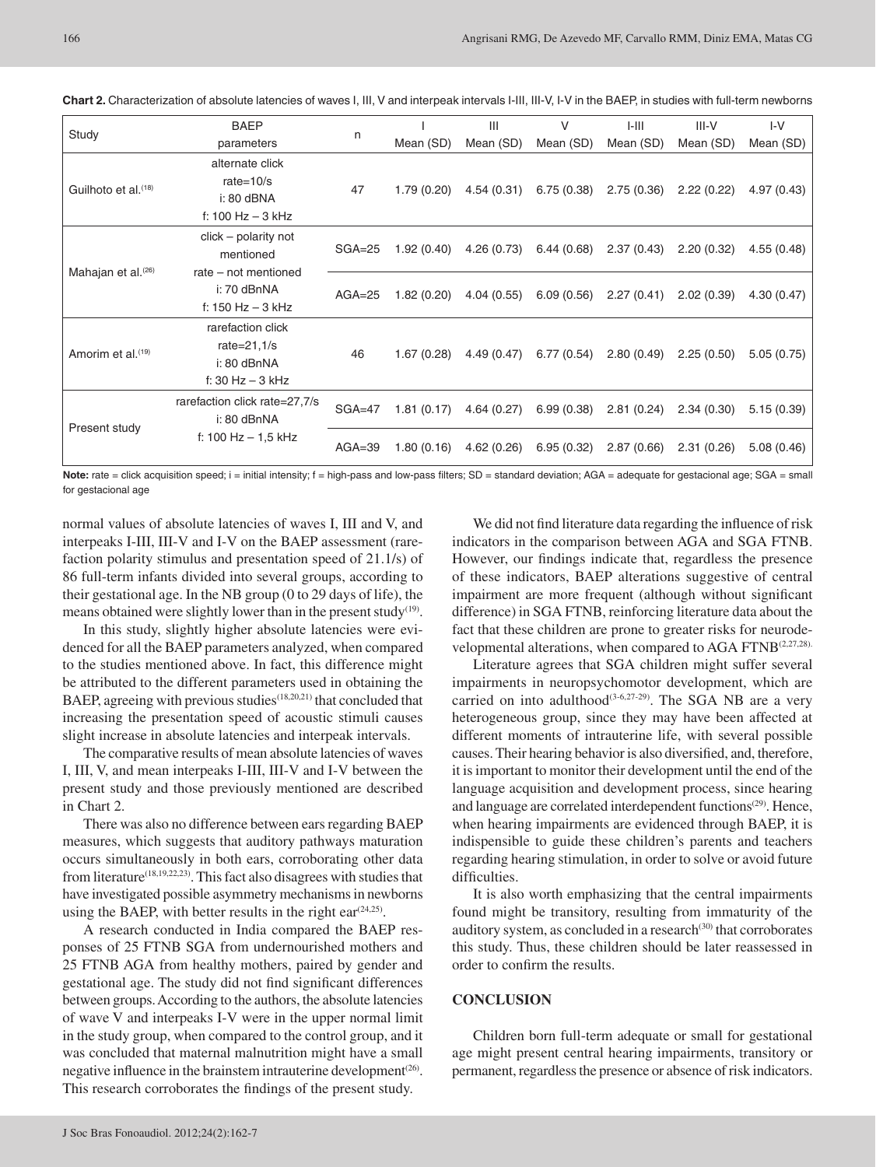|                                 | <b>BAEP</b>                   | n          |            | Ш          | V          | $I-III$    | $III-V$    | $I-V$      |
|---------------------------------|-------------------------------|------------|------------|------------|------------|------------|------------|------------|
| Study                           | parameters                    |            | Mean (SD)  | Mean (SD)  | Mean (SD)  | Mean (SD)  | Mean (SD)  | Mean (SD)  |
|                                 | alternate click               |            |            |            |            |            |            |            |
| Guilhoto et al. <sup>(18)</sup> | rate= $10/s$                  | 47         | 1.79(0.20) | 4.54(0.31) | 6.75(0.38) | 2.75(0.36) | 2.22(0.22) | 4.97(0.43) |
|                                 | i: 80 dBNA                    |            |            |            |            |            |            |            |
|                                 | f: 100 $Hz - 3$ kHz           |            |            |            |            |            |            |            |
|                                 | $click$ – polarity not        |            |            |            |            |            |            |            |
|                                 | mentioned                     | $SGA = 25$ | 1.92(0.40) | 4.26(0.73) | 6.44(0.68) | 2.37(0.43) | 2.20(0.32) | 4.55(0.48) |
| Mahajan et al. <sup>(26)</sup>  | rate – not mentioned          |            |            |            |            |            |            |            |
|                                 | i: 70 dBnNA                   | $AGA = 25$ | 1.82(0.20) | 4.04(0.55) | 6.09(0.56) | 2.27(0.41) | 2.02(0.39) | 4.30(0.47) |
|                                 | f: 150 $Hz - 3$ kHz           |            |            |            |            |            |            |            |
|                                 | rarefaction click             |            |            |            |            |            |            |            |
|                                 | rate= $21,1/s$                |            |            |            |            |            |            |            |
| Amorim et al. <sup>(19)</sup>   | i: 80 dBnNA                   | 46         | 1.67(0.28) | 4.49(0.47) | 6.77(0.54) | 2.80(0.49) | 2.25(0.50) | 5.05(0.75) |
|                                 | f: 30 $Hz - 3$ kHz            |            |            |            |            |            |            |            |
|                                 | rarefaction click rate=27,7/s | $SGA = 47$ |            |            |            |            |            |            |
|                                 | i: 80 dBnNA                   |            | 1.81(0.17) | 4.64(0.27) | 6.99(0.38) | 2.81(0.24) | 2.34(0.30) | 5.15(0.39) |
| Present study                   | f: 100 Hz $-$ 1,5 kHz         | $AGA = 39$ | 1.80(0.16) | 4.62(0.26) | 6.95(0.32) | 2.87(0.66) | 2.31(0.26) |            |
|                                 |                               |            |            |            |            |            |            | 5.08(0.46) |

**Chart 2.** Characterization of absolute latencies of waves I, III, V and interpeak intervals I-III, III-V, I-V in the BAEP, in studies with full-term newborns

Note: rate = click acquisition speed; i = initial intensity; f = high-pass and low-pass filters; SD = standard deviation; AGA = adequate for gestacional age; SGA = small for gestacional age

normal values of absolute latencies of waves I, III and V, and interpeaks I-III, III-V and I-V on the BAEP assessment (rarefaction polarity stimulus and presentation speed of 21.1/s) of 86 full-term infants divided into several groups, according to their gestational age. In the NB group (0 to 29 days of life), the means obtained were slightly lower than in the present study<sup>(19)</sup>.

In this study, slightly higher absolute latencies were evidenced for all the BAEP parameters analyzed, when compared to the studies mentioned above. In fact, this difference might be attributed to the different parameters used in obtaining the BAEP, agreeing with previous studies<sup>(18,20,21)</sup> that concluded that increasing the presentation speed of acoustic stimuli causes slight increase in absolute latencies and interpeak intervals.

The comparative results of mean absolute latencies of waves I, III, V, and mean interpeaks I-III, III-V and I-V between the present study and those previously mentioned are described in Chart 2.

There was also no difference between ears regarding BAEP measures, which suggests that auditory pathways maturation occurs simultaneously in both ears, corroborating other data from literature<sup>(18,19,22,23)</sup>. This fact also disagrees with studies that have investigated possible asymmetry mechanisms in newborns using the BAEP, with better results in the right ear  $(24,25)$ .

A research conducted in India compared the BAEP responses of 25 FTNB SGA from undernourished mothers and 25 FTNB AGA from healthy mothers, paired by gender and gestational age. The study did not find significant differences between groups. According to the authors, the absolute latencies of wave V and interpeaks I-V were in the upper normal limit in the study group, when compared to the control group, and it was concluded that maternal malnutrition might have a small negative influence in the brainstem intrauterine development<sup>(26)</sup>. This research corroborates the findings of the present study.

We did not find literature data regarding the influence of risk indicators in the comparison between AGA and SGA FTNB. However, our findings indicate that, regardless the presence of these indicators, BAEP alterations suggestive of central impairment are more frequent (although without significant difference) in SGA FTNB, reinforcing literature data about the fact that these children are prone to greater risks for neurodevelopmental alterations, when compared to AGA FTNB<sup>(2,27,28).</sup>

Literature agrees that SGA children might suffer several impairments in neuropsychomotor development, which are carried on into adulthood<sup>(3-6,27-29)</sup>. The SGA NB are a very heterogeneous group, since they may have been affected at different moments of intrauterine life, with several possible causes. Their hearing behavior is also diversified, and, therefore, it is important to monitor their development until the end of the language acquisition and development process, since hearing and language are correlated interdependent functions<sup>(29)</sup>. Hence, when hearing impairments are evidenced through BAEP, it is indispensible to guide these children's parents and teachers regarding hearing stimulation, in order to solve or avoid future difficulties.

It is also worth emphasizing that the central impairments found might be transitory, resulting from immaturity of the auditory system, as concluded in a research<sup>(30)</sup> that corroborates this study. Thus, these children should be later reassessed in order to confirm the results.

## **CONCLUSION**

Children born full-term adequate or small for gestational age might present central hearing impairments, transitory or permanent, regardless the presence or absence of risk indicators.